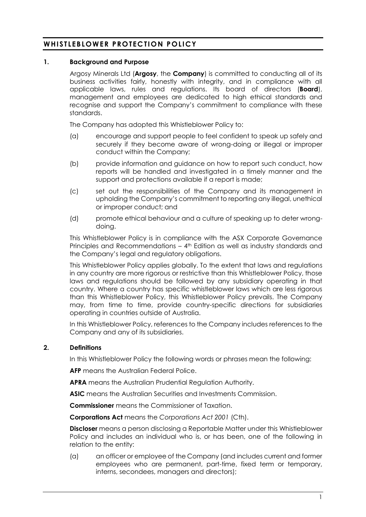# **WHISTLEBLOWER PROTEC TION POLICY**

## **1. Background and Purpose**

Argosy Minerals Ltd (**Argosy**, the **Company**) is committed to conducting all of its business activities fairly, honestly with integrity, and in compliance with all applicable laws, rules and regulations. Its board of directors (**Board**), management and employees are dedicated to high ethical standards and recognise and support the Company's commitment to compliance with these standards.

The Company has adopted this Whistleblower Policy to:

- (a) encourage and support people to feel confident to speak up safely and securely if they become aware of wrong-doing or illegal or improper conduct within the Company;
- (b) provide information and guidance on how to report such conduct, how reports will be handled and investigated in a timely manner and the support and protections available if a report is made;
- (c) set out the responsibilities of the Company and its management in upholding the Company's commitment to reporting any illegal, unethical or improper conduct; and
- (d) promote ethical behaviour and a culture of speaking up to deter wrongdoing.

This Whistleblower Policy is in compliance with the ASX Corporate Governance Principles and Recommendations – 4<sup>th</sup> Edition as well as industry standards and the Company's legal and regulatory obligations.

This Whistleblower Policy applies globally. To the extent that laws and regulations in any country are more rigorous or restrictive than this Whistleblower Policy, those laws and regulations should be followed by any subsidiary operating in that country. Where a country has specific whistleblower laws which are less rigorous than this Whistleblower Policy, this Whistleblower Policy prevails. The Company may, from time to time, provide country-specific directions for subsidiaries operating in countries outside of Australia.

In this Whistleblower Policy, references to the Company includes references to the Company and any of its subsidiaries.

# **2. Definitions**

In this Whistleblower Policy the following words or phrases mean the following:

**AFP** means the Australian Federal Police.

**APRA** means the Australian Prudential Regulation Authority.

**ASIC** means the Australian Securities and Investments Commission.

**Commissioner** means the Commissioner of Taxation.

**Corporations Act** means the *Corporations Act 2001* (Cth).

**Discloser** means a person disclosing a Reportable Matter under this Whistleblower Policy and includes an individual who is, or has been, one of the following in relation to the entity:

(a) an officer or employee of the Company (and includes current and former employees who are permanent, part-time, fixed term or temporary, interns, secondees, managers and directors);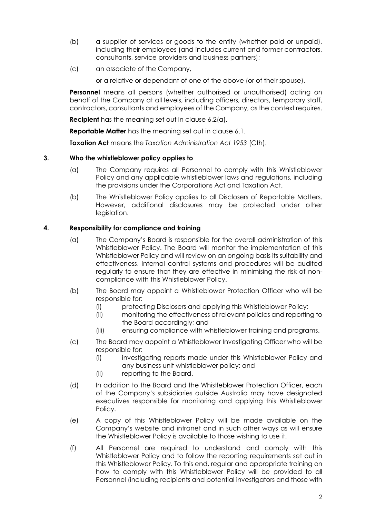- (b) a supplier of services or goods to the entity (whether paid or unpaid), including their employees (and includes current and former contractors, consultants, service providers and business partners);
- (c) an associate of the Company,

or a relative or dependant of one of the above (or of their spouse).

**Personnel** means all persons (whether authorised or unauthorised) acting on behalf of the Company at all levels, including officers, directors, temporary staff, contractors, consultants and employees of the Company, as the context requires.

**Recipient** has the meaning set out in clause [6.2\(a\).](#page-3-0)

**Reportable Matter** has the meaning set out in clause [6.1.](#page-2-0)

**Taxation Act** means the *Taxation Administration Act 1953* (Cth).

## **3. Who the whistleblower policy applies to**

- (a) The Company requires all Personnel to comply with this Whistleblower Policy and any applicable whistleblower laws and regulations, including the provisions under the Corporations Act and Taxation Act.
- (b) The Whistleblower Policy applies to all Disclosers of Reportable Matters. However, additional disclosures may be protected under other leaislation.

# **4. Responsibility for compliance and training**

- (a) The Company's Board is responsible for the overall administration of this Whistleblower Policy. The Board will monitor the implementation of this Whistleblower Policy and will review on an ongoing basis its suitability and effectiveness. Internal control systems and procedures will be audited regularly to ensure that they are effective in minimising the risk of noncompliance with this Whistleblower Policy.
- (b) The Board may appoint a Whistleblower Protection Officer who will be responsible for:
	- (i) protecting Disclosers and applying this Whistleblower Policy;
	- (ii) monitoring the effectiveness of relevant policies and reporting to the Board accordingly; and
	- (iii) ensuring compliance with whistleblower training and programs.
- (c) The Board may appoint a Whistleblower Investigating Officer who will be responsible for:
	- (i) investigating reports made under this Whistleblower Policy and any business unit whistleblower policy; and
	- (ii) reporting to the Board.
- (d) In addition to the Board and the Whistleblower Protection Officer, each of the Company's subsidiaries outside Australia may have designated executives responsible for monitoring and applying this Whistleblower Policy.
- (e) A copy of this Whistleblower Policy will be made available on the Company's website and intranet and in such other ways as will ensure the Whistleblower Policy is available to those wishing to use it.
- (f) All Personnel are required to understand and comply with this Whistleblower Policy and to follow the reporting requirements set out in this Whistleblower Policy. To this end, regular and appropriate training on how to comply with this Whistleblower Policy will be provided to all Personnel (including recipients and potential investigators and those with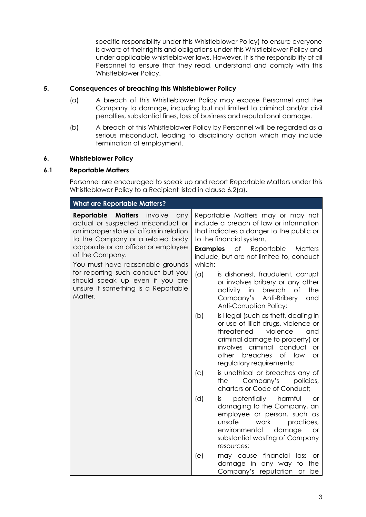specific responsibility under this Whistleblower Policy) to ensure everyone is aware of their rights and obligations under this Whistleblower Policy and under applicable whistleblower laws. However, it is the responsibility of all Personnel to ensure that they read, understand and comply with this Whistleblower Policy.

# **5. Consequences of breaching this Whistleblower Policy**

- (a) A breach of this Whistleblower Policy may expose Personnel and the Company to damage, including but not limited to criminal and/or civil penalties, substantial fines, loss of business and reputational damage.
- (b) A breach of this Whistleblower Policy by Personnel will be regarded as a serious misconduct, leading to disciplinary action which may include termination of employment.

## **6. Whistleblower Policy**

## <span id="page-2-0"></span>**6.1 Reportable Matters**

Personnel are encouraged to speak up and report Reportable Matters under this Whistleblower Policy to a Recipient listed in clause [6.2\(a\).](#page-3-0)

| <b>What are Reportable Matters?</b>                                                                                                                                                                                                                                                                                                                                                          |                                                                                                                                                                                                                                                             |                                                                                                                                                                                                                                                              |
|----------------------------------------------------------------------------------------------------------------------------------------------------------------------------------------------------------------------------------------------------------------------------------------------------------------------------------------------------------------------------------------------|-------------------------------------------------------------------------------------------------------------------------------------------------------------------------------------------------------------------------------------------------------------|--------------------------------------------------------------------------------------------------------------------------------------------------------------------------------------------------------------------------------------------------------------|
| <b>Matters</b><br>Reportable<br>involve<br>any<br>actual or suspected misconduct or<br>an improper state of affairs in relation<br>to the Company or a related body<br>corporate or an officer or employee<br>of the Company.<br>You must have reasonable grounds<br>for reporting such conduct but you<br>should speak up even if you are<br>unsure if something is a Reportable<br>Matter. | Reportable Matters may or may not<br>include a breach of law or information<br>that indicates a danger to the public or<br>to the financial system.<br><b>Examples</b><br>of<br>Reportable<br>Matters<br>include, but are not limited to, conduct<br>which: |                                                                                                                                                                                                                                                              |
|                                                                                                                                                                                                                                                                                                                                                                                              | (a)                                                                                                                                                                                                                                                         | is dishonest, fraudulent, corrupt<br>or involves bribery or any other<br>activity<br>breach<br>the<br>in<br>of<br>Company's Anti-Bribery<br>and<br>Anti-Corruption Policy;                                                                                   |
|                                                                                                                                                                                                                                                                                                                                                                                              | (b)                                                                                                                                                                                                                                                         | is illegal (such as theft, dealing in<br>or use of illicit drugs, violence or<br>threatened<br>violence<br>and<br>criminal damage to property) or<br>involves criminal conduct<br><b>or</b><br>of law<br>breaches<br>other<br>or<br>regulatory requirements; |
|                                                                                                                                                                                                                                                                                                                                                                                              | (c)<br>the                                                                                                                                                                                                                                                  | is unethical or breaches any of<br>Company's<br>policies,<br>charters or Code of Conduct;                                                                                                                                                                    |
|                                                                                                                                                                                                                                                                                                                                                                                              | (d)<br>İS.                                                                                                                                                                                                                                                  | potentially<br>harmful<br><b>or</b><br>damaging to the Company, an<br>employee or person, such as<br>unsafe<br>work<br>practices,<br>environmental<br>damage<br><b>or</b><br>substantial wasting of Company<br>resources;                                    |
|                                                                                                                                                                                                                                                                                                                                                                                              | (e)                                                                                                                                                                                                                                                         | financial<br>may cause<br>loss<br><b>or</b><br>damage in any way<br>to<br>the<br>Company's reputation<br>be<br><b>or</b>                                                                                                                                     |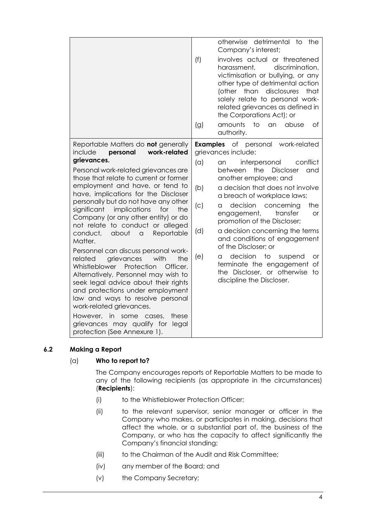|                                                                                                                                                                                                                                                                                                                                                                                                                                                                                                                                                                                                                                                                                                                                                                                                                                       | otherwise detrimental<br>to<br>the<br>Company's interest;<br>(f)<br>involves actual or threatened<br>discrimination,<br>harassment,<br>victimisation or bullying, or any<br>other type of detrimental action<br>disclosures<br>(other than<br>that<br>solely relate to personal work-<br>related grievances as defined in<br>the Corporations Act); or<br>amounts<br>$\overline{1}$<br>abuse<br>of<br>an                                                                                                                                                                            |  |
|---------------------------------------------------------------------------------------------------------------------------------------------------------------------------------------------------------------------------------------------------------------------------------------------------------------------------------------------------------------------------------------------------------------------------------------------------------------------------------------------------------------------------------------------------------------------------------------------------------------------------------------------------------------------------------------------------------------------------------------------------------------------------------------------------------------------------------------|-------------------------------------------------------------------------------------------------------------------------------------------------------------------------------------------------------------------------------------------------------------------------------------------------------------------------------------------------------------------------------------------------------------------------------------------------------------------------------------------------------------------------------------------------------------------------------------|--|
|                                                                                                                                                                                                                                                                                                                                                                                                                                                                                                                                                                                                                                                                                                                                                                                                                                       | (g)<br>authority.                                                                                                                                                                                                                                                                                                                                                                                                                                                                                                                                                                   |  |
| Reportable Matters do not generally<br>work-related<br>include<br>personal                                                                                                                                                                                                                                                                                                                                                                                                                                                                                                                                                                                                                                                                                                                                                            | <b>Examples</b><br>of personal<br>work-related<br>grievances include:                                                                                                                                                                                                                                                                                                                                                                                                                                                                                                               |  |
| grievances.<br>Personal work-related grievances are<br>those that relate to current or former<br>employment and have, or tend to<br>have, implications for the Discloser<br>personally but do not have any other<br>implications<br>significant<br>for<br>the<br>Company (or any other entity) or do<br>not relate to conduct or alleged<br>conduct,<br>about<br>Reportable<br>$\alpha$<br>Matter.<br>Personnel can discuss personal work-<br>the<br>grievances<br>with<br>related<br>Protection<br>Whistleblower<br>Officer.<br>Alternatively, Personnel may wish to<br>seek legal advice about their rights<br>and protections under employment<br>law and ways to resolve personal<br>work-related grievances.<br>However,<br>in<br>some<br>these<br>cases,<br>grievances may qualify for<br>legal<br>protection (See Annexure 1). | (a)<br>conflict<br>interpersonal<br>an<br>the<br><b>Discloser</b><br>and<br>between<br>another employee; and<br>a decision that does not involve<br>(b)<br>a breach of workplace laws;<br>decision<br>the<br>(C)<br>concerning<br>a<br>transfer<br>engagement,<br>or<br>promotion of the Discloser;<br>a decision concerning the terms<br>(d)<br>and conditions of engagement<br>of the Discloser; or<br>decision<br>$\overline{\text{to}}$<br>(e)<br>a<br>suspend<br>or<br>terminate the engagement<br>$\circ f$<br>the Discloser, or otherwise<br>to<br>discipline the Discloser. |  |

# <span id="page-3-1"></span><span id="page-3-0"></span>**6.2 Making a Report**

# (a) **Who to report to?**

The Company encourages reports of Reportable Matters to be made to any of the following recipients (as appropriate in the circumstances) (**Recipients**):

- (i) to the Whistleblower Protection Officer;
- (ii) to the relevant supervisor, senior manager or officer in the Company who makes, or participates in making, decisions that affect the whole, or a substantial part of, the business of the Company, or who has the capacity to affect significantly the Company's financial standing;
- (iii) to the Chairman of the Audit and Risk Committee;
- (iv) any member of the Board; and
- (v) the Company Secretary;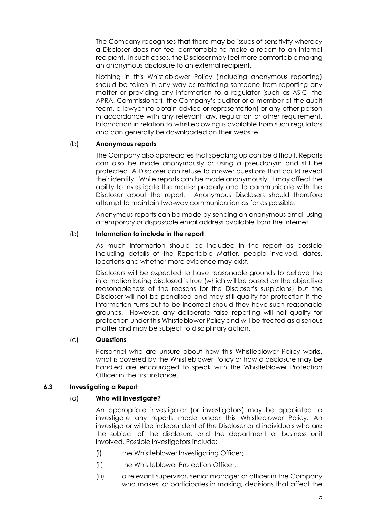The Company recognises that there may be issues of sensitivity whereby a Discloser does not feel comfortable to make a report to an internal recipient. In such cases, the Discloser may feel more comfortable making an anonymous disclosure to an external recipient.

Nothing in this Whistleblower Policy (including anonymous reporting) should be taken in any way as restricting someone from reporting any matter or providing any information to a regulator (such as ASIC, the APRA, Commissioner), the Company's auditor or a member of the audit team, a lawyer (to obtain advice or representation) or any other person in accordance with any relevant law, regulation or other requirement. Information in relation to whistleblowing is available from such regulators and can generally be downloaded on their website.

## (b) **Anonymous reports**

The Company also appreciates that speaking up can be difficult. Reports can also be made anonymously or using a pseudonym and still be protected. A Discloser can refuse to answer questions that could reveal their identity. While reports can be made anonymously, it may affect the ability to investigate the matter properly and to communicate with the Discloser about the report. Anonymous Disclosers should therefore attempt to maintain two-way communication as far as possible.

Anonymous reports can be made by sending an anonymous email using a temporary or disposable email address available from the internet.

## (b) **Information to include in the report**

As much information should be included in the report as possible including details of the Reportable Matter, people involved, dates, locations and whether more evidence may exist.

Disclosers will be expected to have reasonable grounds to believe the information being disclosed is true (which will be based on the objective reasonableness of the reasons for the Discloser's suspicions) but the Discloser will not be penalised and may still qualify for protection if the information turns out to be incorrect should they have such reasonable grounds. However, any deliberate false reporting will not qualify for protection under this Whistleblower Policy and will be treated as a serious matter and may be subject to disciplinary action.

# (c) **Questions**

Personnel who are unsure about how this Whistleblower Policy works, what is covered by the Whistleblower Policy or how a disclosure may be handled are encouraged to speak with the Whistleblower Protection Officer in the first instance.

## **6.3 Investigating a Report**

## (a) **Who will investigate?**

An appropriate investigator (or investigators) may be appointed to investigate any reports made under this Whistleblower Policy. An investigator will be independent of the Discloser and individuals who are the subject of the disclosure and the department or business unit involved. Possible investigators include:

- (i) the Whistleblower Investigating Officer;
- (ii) the Whistleblower Protection Officer;
- (iii) a relevant supervisor, senior manager or officer in the Company who makes, or participates in making, decisions that affect the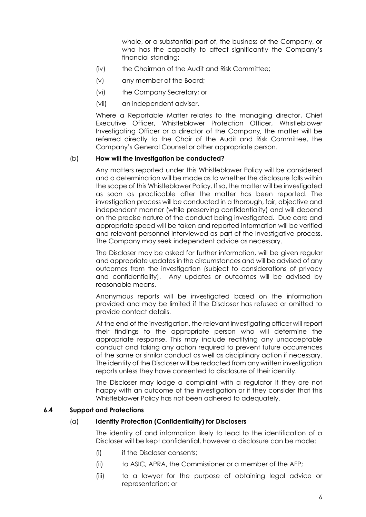whole, or a substantial part of, the business of the Company, or who has the capacity to affect significantly the Company's financial standing;

- (iv) the Chairman of the Audit and Risk Committee;
- (v) any member of the Board;
- (vi) the Company Secretary; or
- (vii) an independent adviser.

Where a Reportable Matter relates to the managing director, Chief Executive Officer, Whistleblower Protection Officer, Whistleblower Investigating Officer or a director of the Company, the matter will be referred directly to the Chair of the Audit and Risk Committee, the Company's General Counsel or other appropriate person.

## (b) **How will the investigation be conducted?**

Any matters reported under this Whistleblower Policy will be considered and a determination will be made as to whether the disclosure falls within the scope of this Whistleblower Policy. If so, the matter will be investigated as soon as practicable after the matter has been reported. The investigation process will be conducted in a thorough, fair, objective and independent manner (while preserving confidentiality) and will depend on the precise nature of the conduct being investigated. Due care and appropriate speed will be taken and reported information will be verified and relevant personnel interviewed as part of the investigative process. The Company may seek independent advice as necessary.

The Discloser may be asked for further information, will be given regular and appropriate updates in the circumstances and will be advised of any outcomes from the investigation (subject to considerations of privacy and confidentiality). Any updates or outcomes will be advised by reasonable means.

Anonymous reports will be investigated based on the information provided and may be limited if the Discloser has refused or omitted to provide contact details.

At the end of the investigation, the relevant investigating officer will report their findings to the appropriate person who will determine the appropriate response. This may include rectifying any unacceptable conduct and taking any action required to prevent future occurrences of the same or similar conduct as well as disciplinary action if necessary. The identity of the Discloser will be redacted from any written investigation reports unless they have consented to disclosure of their identity.

The Discloser may lodge a complaint with a regulator if they are not happy with an outcome of the investigation or if they consider that this Whistleblower Policy has not been adhered to adequately.

## **6.4 Support and Protections**

## (a) **Identity Protection (Confidentiality) for Disclosers**

The identity of and information likely to lead to the identification of a Discloser will be kept confidential, however a disclosure can be made:

- (i) if the Discloser consents;
- (ii) to ASIC, APRA, the Commissioner or a member of the AFP;
- (iii) to a lawyer for the purpose of obtaining legal advice or representation; or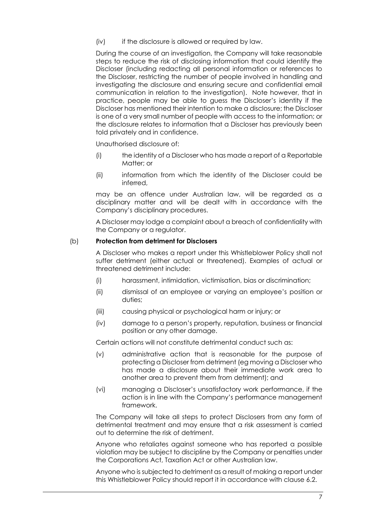(iv) if the disclosure is allowed or required by law.

During the course of an investigation, the Company will take reasonable steps to reduce the risk of disclosing information that could identify the Discloser (including redacting all personal information or references to the Discloser, restricting the number of people involved in handling and investigating the disclosure and ensuring secure and confidential email communication in relation to the investigation). Note however, that in practice, people may be able to guess the Discloser's identity if the Discloser has mentioned their intention to make a disclosure; the Discloser is one of a very small number of people with access to the information; or the disclosure relates to information that a Discloser has previously been told privately and in confidence.

Unauthorised disclosure of:

- (i) the identity of a Discloser who has made a report of a Reportable Matter; or
- (ii) information from which the identity of the Discloser could be inferred,

may be an offence under Australian law, will be regarded as a disciplinary matter and will be dealt with in accordance with the Company's disciplinary procedures.

A Discloser may lodge a complaint about a breach of confidentiality with the Company or a regulator.

## (b) **Protection from detriment for Disclosers**

A Discloser who makes a report under this Whistleblower Policy shall not suffer detriment (either actual or threatened). Examples of actual or threatened detriment include:

- (i) harassment, intimidation, victimisation, bias or discrimination;
- (ii) dismissal of an employee or varying an employee's position or duties;
- (iii) causing physical or psychological harm or injury; or
- (iv) damage to a person's property, reputation, business or financial position or any other damage.

Certain actions will not constitute detrimental conduct such as:

- (v) administrative action that is reasonable for the purpose of protecting a Discloser from detriment (eg moving a Discloser who has made a disclosure about their immediate work area to another area to prevent them from detriment); and
- (vi) managing a Discloser's unsatisfactory work performance, if the action is in line with the Company's performance management framework.

The Company will take all steps to protect Disclosers from any form of detrimental treatment and may ensure that a risk assessment is carried out to determine the risk of detriment.

Anyone who retaliates against someone who has reported a possible violation may be subject to discipline by the Company or penalties under the Corporations Act, Taxation Act or other Australian law.

Anyone who is subjected to detriment as a result of making a report under this Whistleblower Policy should report it in accordance with clause [6.2.](#page-3-1)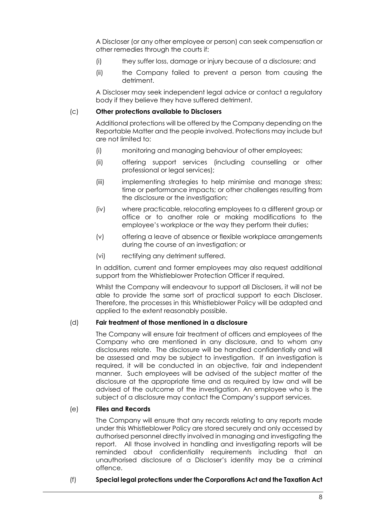A Discloser (or any other employee or person) can seek compensation or other remedies through the courts if:

- (i) they suffer loss, damage or injury because of a disclosure; and
- (ii) the Company failed to prevent a person from causing the detriment.

A Discloser may seek independent legal advice or contact a regulatory body if they believe they have suffered detriment.

## (c) **Other protections available to Disclosers**

Additional protections will be offered by the Company depending on the Reportable Matter and the people involved. Protections may include but are not limited to:

- (i) monitoring and managing behaviour of other employees;
- (ii) offering support services (including counselling or other professional or legal services);
- (iii) implementing strategies to help minimise and manage stress; time or performance impacts; or other challenges resulting from the disclosure or the investigation;
- (iv) where practicable, relocating employees to a different group or office or to another role or making modifications to the employee's workplace or the way they perform their duties;
- (v) offering a leave of absence or flexible workplace arrangements during the course of an investigation; or
- (vi) rectifying any detriment suffered.

In addition, current and former employees may also request additional support from the Whistleblower Protection Officer if required.

Whilst the Company will endeavour to support all Disclosers, it will not be able to provide the same sort of practical support to each Discloser. Therefore, the processes in this Whistleblower Policy will be adapted and applied to the extent reasonably possible.

## (d) **Fair treatment of those mentioned in a disclosure**

The Company will ensure fair treatment of officers and employees of the Company who are mentioned in any disclosure, and to whom any disclosures relate. The disclosure will be handled confidentially and will be assessed and may be subject to investigation. If an investigation is required, it will be conducted in an objective, fair and independent manner. Such employees will be advised of the subject matter of the disclosure at the appropriate time and as required by law and will be advised of the outcome of the investigation. An employee who is the subject of a disclosure may contact the Company's support services.

## (e) **Files and Records**

The Company will ensure that any records relating to any reports made under this Whistleblower Policy are stored securely and only accessed by authorised personnel directly involved in managing and investigating the report. All those involved in handling and investigating reports will be reminded about confidentiality requirements including that an unauthorised disclosure of a Discloser's identity may be a criminal offence.

## (f) **Special legal protections under the Corporations Act and the Taxation Act**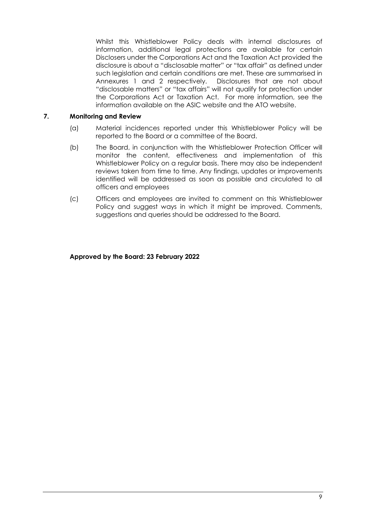Whilst this Whistleblower Policy deals with internal disclosures of information, additional legal protections are available for certain Disclosers under the Corporations Act and the Taxation Act provided the disclosure is about a "disclosable matter" or "tax affair" as defined under such legislation and certain conditions are met. These are summarised in Annexures 1 and 2 respectively. Disclosures that are not about "disclosable matters" or "tax affairs" will not qualify for protection under the Corporations Act or Taxation Act. For more information, see the information available on the ASIC website and the ATO website.

## **7. Monitoring and Review**

- (a) Material incidences reported under this Whistleblower Policy will be reported to the Board or a committee of the Board.
- (b) The Board, in conjunction with the Whistleblower Protection Officer will monitor the content, effectiveness and implementation of this Whistleblower Policy on a regular basis. There may also be independent reviews taken from time to time. Any findings, updates or improvements identified will be addressed as soon as possible and circulated to all officers and employees
- (c) Officers and employees are invited to comment on this Whistleblower Policy and suggest ways in which it might be improved. Comments, suggestions and queries should be addressed to the Board.

## **Approved by the Board: 23 February 2022**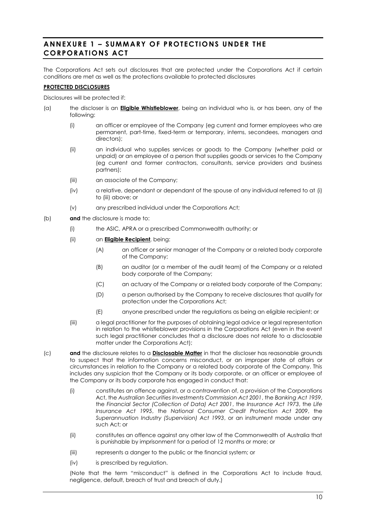# <span id="page-9-0"></span>**ANNEXURE 1 – SUMMARY OF PROTECTIONS UNDE R THE CORPORATIONS ACT**

The Corporations Act sets out disclosures that are protected under the Corporations Act if certain conditions are met as well as the protections available to protected disclosures

## **PROTECTED DISCLOSURES**

Disclosures will be protected if:

- <span id="page-9-1"></span>(a) the discloser is an **Eligible Whistleblower**, being an individual who is, or has been, any of the following:
	- (i) an officer or employee of the Company (eg current and former employees who are permanent, part-time, fixed-term or temporary, interns, secondees, managers and directors);
	- (ii) an individual who supplies services or goods to the Company (whether paid or unpaid) or an employee of a person that supplies goods or services to the Company (eg current and former contractors, consultants, service providers and business partners);
	- (iii) an associate of the Company;
	- (iv) a relative, dependant or dependant of the spouse of any individual referred to at [\(i\)](#page-9-1) to [\(iii\)](#page-9-2) above; or
	- (v) any prescribed individual under the Corporations Act;
- <span id="page-9-2"></span>(b) **and** the disclosure is made to:
	- (i) the ASIC, APRA or a prescribed Commonwealth authority; or
	- (ii) an **Eligible Recipient**, being:
		- (A) an officer or senior manager of the Company or a related body corporate of the Company;
		- (B) an auditor (or a member of the audit team) of the Company or a related body corporate of the Company;
		- (C) an actuary of the Company or a related body corporate of the Company;
		- (D) a person authorised by the Company to receive disclosures that qualify for protection under the Corporations Act;
		- (E) anyone prescribed under the regulations as being an eligible recipient; or
	- (iii) a legal practitioner for the purposes of obtaining legal advice or legal representation in relation to the whistleblower provisions in the Corporations Act (even in the event such legal practitioner concludes that a disclosure does not relate to a disclosable matter under the Corporations Act);
- (c) **and** the disclosure relates to a **Disclosable Matter** in that the discloser has reasonable grounds to suspect that the information concerns misconduct, or an improper state of affairs or circumstances in relation to the Company or a related body corporate of the Company. This includes any suspicion that the Company or its body corporate, or an officer or employee of the Company or its body corporate has engaged in conduct that:
	- (i) constitutes an offence against, or a contravention of, a provision of the Corporations Act, the *Australian Securities Investments Commission Act 2001*, the *Banking Act 1959*, the *Financial Sector (Collection of Data) Act 2001*, the *Insurance Act 1973*, the *Life Insurance Act 1995*, the *National Consumer Credit Protection Act 2009*, the *Superannuation Industry (Supervision) Act 1993*, or an instrument made under any such Act; or
	- (ii) constitutes an offence against any other law of the Commonwealth of Australia that is punishable by imprisonment for a period of 12 months or more; or
	- (iii) represents a danger to the public or the financial system; or
	- (iv) is prescribed by regulation.

(Note that the term "misconduct" is defined in the Corporations Act to include fraud, negligence, default, breach of trust and breach of duty.)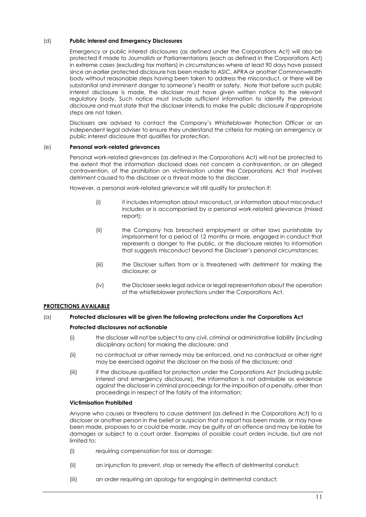## (d) **Public interest and Emergency Disclosures**

Emergency or public interest disclosures (as defined under the Corporations Act) will also be protected if made to Journalists or Parliamentarians (each as defined in the Corporations Act) in extreme cases (excluding tax matters) in circumstances where at least 90 days have passed since an earlier protected disclosure has been made to ASIC, APRA or another Commonwealth body without reasonable steps having been taken to address the misconduct, or there will be substantial and imminent danger to someone's health or safety. Note that before such public interest disclosure is made, the discloser must have given written notice to the relevant regulatory body. Such notice must include sufficient information to identify the previous disclosure and must state that the discloser intends to make the public disclosure if appropriate steps are not taken.

Disclosers are advised to contact the Company's Whistleblower Protection Officer or an independent legal adviser to ensure they understand the criteria for making an emergency or public interest disclosure that qualifies for protection.

### (e) **Personal work-related grievances**

Personal work-related grievances (as defined in the Corporations Act) will not be protected to the extent that the information disclosed does not concern a contravention, or an alleged contravention, of the prohibition on victimisation under the Corporations Act that involves detriment caused to the discloser or a threat made to the discloser.

However, a personal work-related grievance will still qualify for protection if:

- (i) it includes information about misconduct, or information about misconduct includes or is accompanied by a personal work-related grievance (mixed report);
- (ii) the Company has breached employment or other laws punishable by imprisonment for a period of 12 months or more, engaged in conduct that represents a danger to the public, or the disclosure relates to information that suggests misconduct beyond the Discloser's personal circumstances;
- (iii) the Discloser suffers from or is threatened with detriment for making the disclosure; or
- (iv) the Discloser seeks legal advice or legal representation about the operation of the whistleblower protections under the Corporations Act.

## **PROTECTIONS AVAILABLE**

# (a) **Protected disclosures will be given the following protections under the Corporations Act Protected disclosures not actionable**

- (i) the discloser will not be subject to any civil, criminal or administrative liability (including disciplinary action) for making the disclosure; and
- (ii) no contractual or other remedy may be enforced, and no contractual or other right may be exercised against the discloser on the basis of the disclosure; and
- (iii) if the disclosure qualified for protection under the Corporations Act (including public interest and emergency disclosure), the information is not admissible as evidence against the discloser in criminal proceedings for the imposition of a penalty, other than proceedings in respect of the falsity of the information;

### **Victimisation Prohibited**

Anyone who causes or threatens to cause detriment (as defined in the Corporations Act) to a discloser or another person in the belief or suspicion that a report has been made, or may have been made, proposes to or could be made, may be guilty of an offence and may be liable for damages or subject to a court order. Examples of possible court orders include, but are not limited to:

- (i) requiring compensation for loss or damage;
- (ii) an injunction to prevent, stop or remedy the effects of detrimental conduct;
- (iii) an order requiring an apology for engaging in detrimental conduct;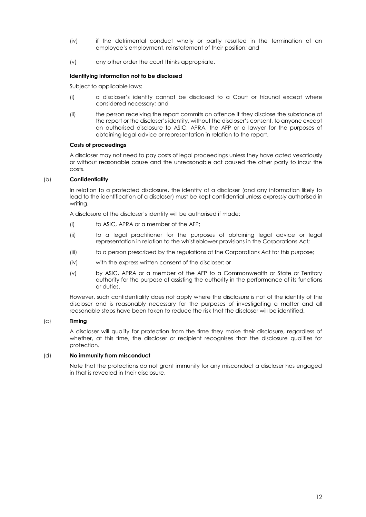- (iv) if the detrimental conduct wholly or partly resulted in the termination of an employee's employment, reinstatement of their position; and
- (v) any other order the court thinks appropriate.

### **Identifying information not to be disclosed**

Subject to applicable laws:

- (i) a discloser's identity cannot be disclosed to a Court or tribunal except where considered necessary; and
- (ii) the person receiving the report commits an offence if they disclose the substance of the report or the discloser's identity, without the discloser's consent, to anyone except an authorised disclosure to ASIC, APRA, the AFP or a lawyer for the purposes of obtaining legal advice or representation in relation to the report.

### **Costs of proceedings**

A discloser may not need to pay costs of legal proceedings unless they have acted vexatiously or without reasonable cause and the unreasonable act caused the other party to incur the costs.

## (b) **Confidentiality**

In relation to a protected disclosure, the identity of a discloser (and any information likely to lead to the identification of a discloser) must be kept confidential unless expressly authorised in writing.

A disclosure of the discloser's identity will be authorised if made:

- (i) to ASIC, APRA or a member of the AFP;
- (ii) to a legal practitioner for the purposes of obtaining legal advice or legal representation in relation to the whistleblower provisions in the Corporations Act;
- (iii) to a person prescribed by the regulations of the Corporations Act for this purpose;
- (iv) with the express written consent of the discloser; or
- (v) by ASIC, APRA or a member of the AFP to a Commonwealth or State or Territory authority for the purpose of assisting the authority in the performance of its functions or duties.

However, such confidentiality does not apply where the disclosure is not of the identity of the discloser and is reasonably necessary for the purposes of investigating a matter and all reasonable steps have been taken to reduce the risk that the discloser will be identified.

### (c) **Timing**

A discloser will qualify for protection from the time they make their disclosure, regardless of whether, at this time, the discloser or recipient recognises that the disclosure qualifies for protection.

## (d) **No immunity from misconduct**

Note that the protections do not grant immunity for any misconduct a discloser has engaged in that is revealed in their disclosure.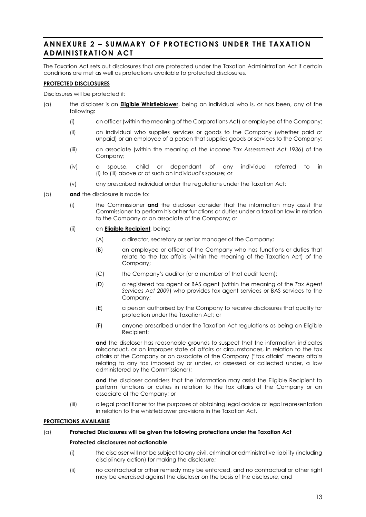# **ANNEXURE 2 – SUMMARY OF PROTECTIONS UNDE R THE TAXATION ADMINISTRATION ACT**

The Taxation Act sets out disclosures that are protected under the Taxation Administration Act if certain conditions are met as well as protections available to protected disclosures.

### **PROTECTED DISCLOSURES**

Disclosures will be protected if:

- <span id="page-12-1"></span><span id="page-12-0"></span>(a) the discloser is an **Eligible Whistleblower**, being an individual who is, or has been, any of the following:
	- (i) an officer (within the meaning of the Corporations Act) or employee of the Company;
	- (ii) an individual who supplies services or goods to the Company (whether paid or unpaid) or an employee of a person that supplies goods or services to the Company;
	- (iii) an associate (within the meaning of the *Income Tax Assessment Act 1936*) of the Company;
	- (iv) a spouse, child or dependant of any individual referred to in [\(i\)](#page-12-0) to [\(iii\)](#page-12-1) above or of such an individual's spouse; or
	- (v) any prescribed individual under the regulations under the Taxation Act;
- (b) **and** the disclosure is made to:
	- (i) the Commissioner **and** the discloser consider that the information may assist the Commissioner to perform his or her functions or duties under a taxation law in relation to the Company or an associate of the Company; or
	- (ii) an **Eligible Recipient**, being:
		- (A) a director, secretary or senior manager of the Company;
		- (B) an employee or officer of the Company who has functions or duties that relate to the tax affairs (within the meaning of the Taxation Act) of the Company;
		- (C) the Company's auditor (or a member of that audit team);
		- (D) a registered tax agent or BAS agent (within the meaning of the *Tax Agent Services Act 2009*) who provides tax agent services or BAS services to the Company;
		- (E) a person authorised by the Company to receive disclosures that qualify for protection under the Taxation Act; or
		- (F) anyone prescribed under the Taxation Act regulations as being an Eligible Recipient;

**and** the discloser has reasonable grounds to suspect that the information indicates misconduct, or an improper state of affairs or circumstances, in relation to the tax affairs of the Company or an associate of the Company ("tax affairs" means affairs relating to any tax imposed by or under, or assessed or collected under, a law administered by the Commissioner);

**and** the discloser considers that the information may assist the Eligible Recipient to perform functions or duties in relation to the tax affairs of the Company or an associate of the Company; or

(iii) a legal practitioner for the purposes of obtaining legal advice or legal representation in relation to the whistleblower provisions in the Taxation Act.

### **PROTECTIONS AVAILABLE**

## <span id="page-12-2"></span>(a) **Protected Disclosures will be given the following protections under the Taxation Act**

### **Protected disclosures not actionable**

- (i) the discloser will not be subject to any civil, criminal or administrative liability (including disciplinary action) for making the disclosure;
- (ii) no contractual or other remedy may be enforced, and no contractual or other right may be exercised against the discloser on the basis of the disclosure; and